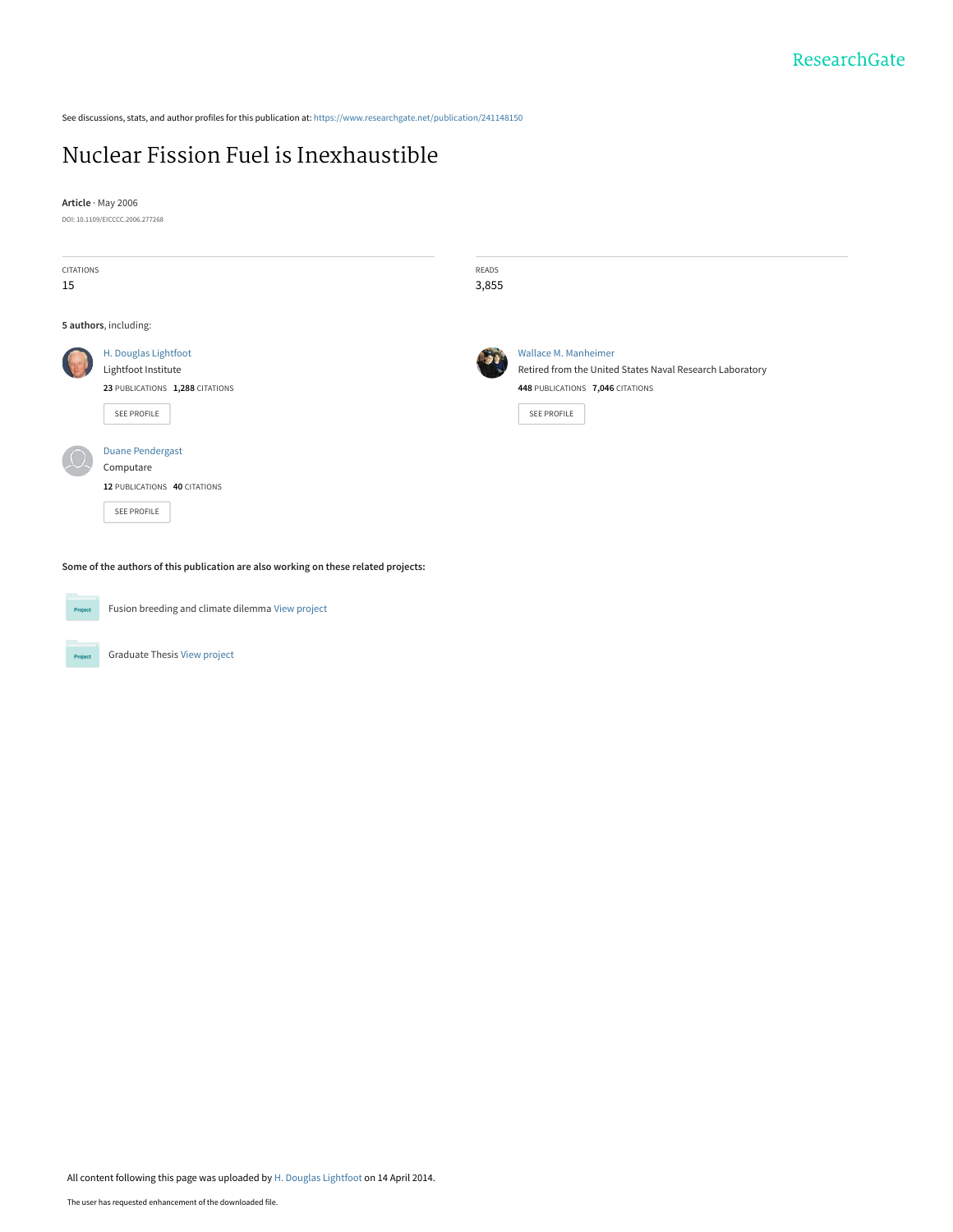See discussions, stats, and author profiles for this publication at: [https://www.researchgate.net/publication/241148150](https://www.researchgate.net/publication/241148150_Nuclear_Fission_Fuel_is_Inexhaustible?enrichId=rgreq-d258e15b740cafc78be3986250266628-XXX&enrichSource=Y292ZXJQYWdlOzI0MTE0ODE1MDtBUzo5ODYyOTU0NTEwMzM3N0AxNDAwNTI2NTI0OTk5&el=1_x_2&_esc=publicationCoverPdf)

# [Nuclear Fission Fuel is Inexhaustible](https://www.researchgate.net/publication/241148150_Nuclear_Fission_Fuel_is_Inexhaustible?enrichId=rgreq-d258e15b740cafc78be3986250266628-XXX&enrichSource=Y292ZXJQYWdlOzI0MTE0ODE1MDtBUzo5ODYyOTU0NTEwMzM3N0AxNDAwNTI2NTI0OTk5&el=1_x_3&_esc=publicationCoverPdf)

**Article** · May 2006

DOI: 10.1109/EICCCC.2006.277268

| CITATIONS<br>15 |                                                                                               | READS<br>3,855 |                                                                                                                                            |
|-----------------|-----------------------------------------------------------------------------------------------|----------------|--------------------------------------------------------------------------------------------------------------------------------------------|
|                 | 5 authors, including:                                                                         |                |                                                                                                                                            |
|                 | H. Douglas Lightfoot<br>Lightfoot Institute<br>23 PUBLICATIONS 1,288 CITATIONS<br>SEE PROFILE |                | Wallace M. Manheimer<br>Retired from the United States Naval Research Laboratory<br>448 PUBLICATIONS 7,046 CITATIONS<br><b>SEE PROFILE</b> |
|                 | <b>Duane Pendergast</b><br>Computare<br>12 PUBLICATIONS 40 CITATIONS<br>SEE PROFILE           |                |                                                                                                                                            |

**Some of the authors of this publication are also working on these related projects:**

Project

Fusion breeding and climate dilemma [View project](https://www.researchgate.net/project/Fusion-breeding-and-climate-dilemma?enrichId=rgreq-d258e15b740cafc78be3986250266628-XXX&enrichSource=Y292ZXJQYWdlOzI0MTE0ODE1MDtBUzo5ODYyOTU0NTEwMzM3N0AxNDAwNTI2NTI0OTk5&el=1_x_9&_esc=publicationCoverPdf)

Graduate Thesis [View project](https://www.researchgate.net/project/Graduate-Thesis-21?enrichId=rgreq-d258e15b740cafc78be3986250266628-XXX&enrichSource=Y292ZXJQYWdlOzI0MTE0ODE1MDtBUzo5ODYyOTU0NTEwMzM3N0AxNDAwNTI2NTI0OTk5&el=1_x_9&_esc=publicationCoverPdf) Project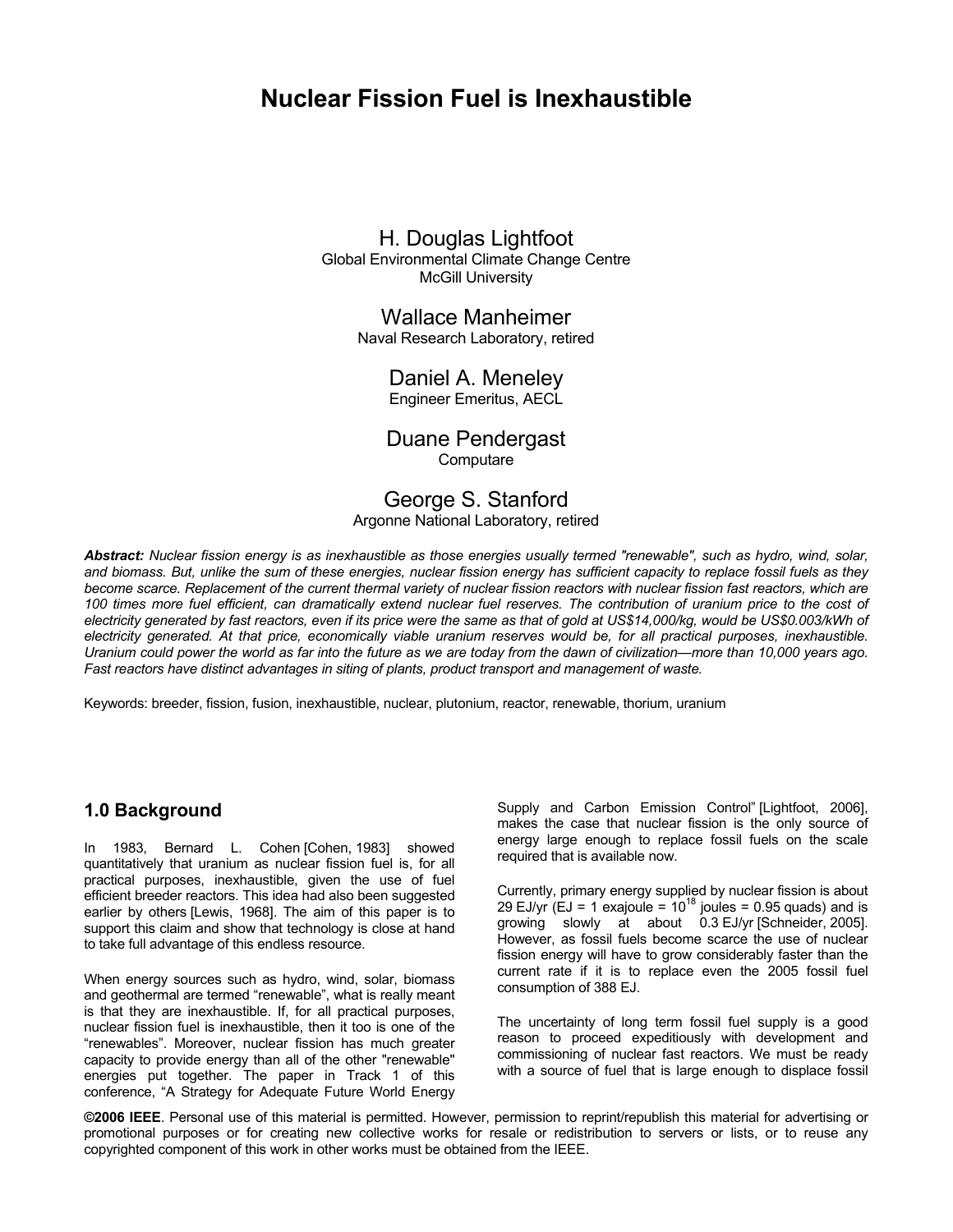# **Nuclear Fission Fuel is Inexhaustible**

## H. Douglas Lightfoot Global Environmental Climate Change Centre McGill University

Wallace Manheimer Naval Research Laboratory, retired

Daniel A. Meneley Engineer Emeritus, AECL

## Duane Pendergast **Computare**

## George S. Stanford Argonne National Laboratory, retired

*Abstract: Nuclear fission energy is as inexhaustible as those energies usually termed "renewable", such as hydro, wind, solar, and biomass. But, unlike the sum of these energies, nuclear fission energy has sufficient capacity to replace fossil fuels as they become scarce. Replacement of the current thermal variety of nuclear fission reactors with nuclear fission fast reactors, which are*  100 times more fuel efficient, can dramatically extend nuclear fuel reserves. The contribution of uranium price to the cost of *electricity generated by fast reactors, even if its price were the same as that of gold at US\$14,000/kg, would be US\$0.003/kWh of electricity generated. At that price, economically viable uranium reserves would be, for all practical purposes, inexhaustible. Uranium could power the world as far into the future as we are today from the dawn of civilization—more than 10,000 years ago. Fast reactors have distinct advantages in siting of plants, product transport and management of waste.* 

Keywords: breeder, fission, fusion, inexhaustible, nuclear, plutonium, reactor, renewable, thorium, uranium

## **1.0 Background**

In 1983, Bernard L. Cohen [Cohen, 1983] showed quantitatively that uranium as nuclear fission fuel is, for all practical purposes, inexhaustible, given the use of fuel efficient breeder reactors. This idea had also been suggested earlier by others [Lewis, 1968]. The aim of this paper is to support this claim and show that technology is close at hand to take full advantage of this endless resource.

When energy sources such as hydro, wind, solar, biomass and geothermal are termed "renewable", what is really meant is that they are inexhaustible. If, for all practical purposes, nuclear fission fuel is inexhaustible, then it too is one of the "renewables". Moreover, nuclear fission has much greater capacity to provide energy than all of the other "renewable" energies put together. The paper in Track 1 of this conference, "A Strategy for Adequate Future World Energy Supply and Carbon Emission Control" [Lightfoot, 2006], makes the case that nuclear fission is the only source of energy large enough to replace fossil fuels on the scale required that is available now.

Currently, primary energy supplied by nuclear fission is about 29 EJ/yr (EJ = 1 exajoule =  $10^{18}$  joules = 0.95 quads) and is growing slowly at about 0.3 EJ/yr [Schneider, 2005]. However, as fossil fuels become scarce the use of nuclear fission energy will have to grow considerably faster than the current rate if it is to replace even the 2005 fossil fuel consumption of 388 EJ.

The uncertainty of long term fossil fuel supply is a good reason to proceed expeditiously with development and commissioning of nuclear fast reactors. We must be ready with a source of fuel that is large enough to displace fossil

**©2006 IEEE**. Personal use of this material is permitted. However, permission to reprint/republish this material for advertising or promotional purposes or for creating new collective works for resale or redistribution to servers or lists, or to reuse any copyrighted component of this work in other works must be obtained from the IEEE.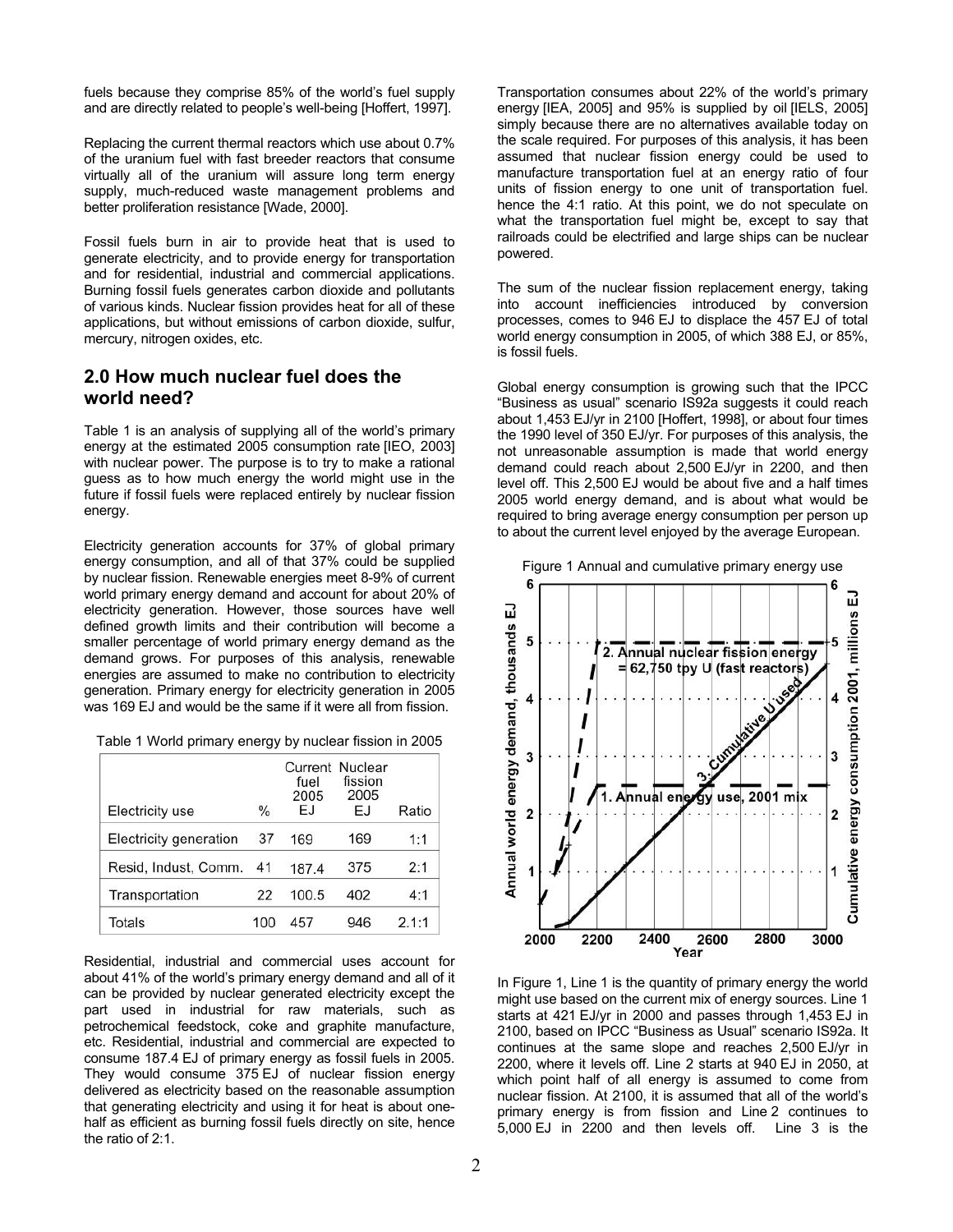fuels because they comprise 85% of the world's fuel supply and are directly related to people's well-being [Hoffert, 1997].

Replacing the current thermal reactors which use about 0.7% of the uranium fuel with fast breeder reactors that consume virtually all of the uranium will assure long term energy supply, much-reduced waste management problems and better proliferation resistance [Wade, 2000].

Fossil fuels burn in air to provide heat that is used to generate electricity, and to provide energy for transportation and for residential, industrial and commercial applications. Burning fossil fuels generates carbon dioxide and pollutants of various kinds. Nuclear fission provides heat for all of these applications, but without emissions of carbon dioxide, sulfur, mercury, nitrogen oxides, etc.

## **2.0 How much nuclear fuel does the world need?**

Table 1 is an analysis of supplying all of the world's primary energy at the estimated 2005 consumption rate [IEO, 2003] with nuclear power. The purpose is to try to make a rational guess as to how much energy the world might use in the future if fossil fuels were replaced entirely by nuclear fission energy.

Electricity generation accounts for 37% of global primary energy consumption, and all of that 37% could be supplied by nuclear fission. Renewable energies meet 8-9% of current world primary energy demand and account for about 20% of electricity generation. However, those sources have well defined growth limits and their contribution will become a smaller percentage of world primary energy demand as the demand grows. For purposes of this analysis, renewable energies are assumed to make no contribution to electricity generation. Primary energy for electricity generation in 2005 was 169 EJ and would be the same if it were all from fission.

Table 1 World primary energy by nuclear fission in 2005

| Electricity use        | $\frac{0}{0}$ | Current<br>fuel<br>2005<br>EJ | Nuclear<br>fission<br>2005<br>EJ | Ratio |
|------------------------|---------------|-------------------------------|----------------------------------|-------|
| Electricity generation | 37            | 169                           | 169                              | 1:1   |
| Resid, Indust, Comm.   | 41            | 187.4                         | 375                              | 2:1   |
| Transportation         | 22            | 100.5                         | 402                              | 4:1   |
| Totals                 | 100           | 457                           | 946                              | 2.1:1 |

Residential, industrial and commercial uses account for about 41% of the world's primary energy demand and all of it can be provided by nuclear generated electricity except the part used in industrial for raw materials, such as petrochemical feedstock, coke and graphite manufacture, etc. Residential, industrial and commercial are expected to consume 187.4 EJ of primary energy as fossil fuels in 2005. They would consume 375 EJ of nuclear fission energy delivered as electricity based on the reasonable assumption that generating electricity and using it for heat is about onehalf as efficient as burning fossil fuels directly on site, hence the ratio of 2:1.

Transportation consumes about 22% of the world's primary energy [IEA, 2005] and 95% is supplied by oil [IELS, 2005] simply because there are no alternatives available today on the scale required. For purposes of this analysis, it has been assumed that nuclear fission energy could be used to manufacture transportation fuel at an energy ratio of four units of fission energy to one unit of transportation fuel. hence the 4:1 ratio. At this point, we do not speculate on what the transportation fuel might be, except to say that railroads could be electrified and large ships can be nuclear powered.

The sum of the nuclear fission replacement energy, taking into account inefficiencies introduced by conversion processes, comes to 946 EJ to displace the 457 EJ of total world energy consumption in 2005, of which 388 EJ, or 85%, is fossil fuels.

Global energy consumption is growing such that the IPCC "Business as usual" scenario IS92a suggests it could reach about 1,453 EJ/yr in 2100 [Hoffert, 1998], or about four times the 1990 level of 350 EJ/yr. For purposes of this analysis, the not unreasonable assumption is made that world energy demand could reach about 2,500 EJ/yr in 2200, and then level off. This 2,500 EJ would be about five and a half times 2005 world energy demand, and is about what would be required to bring average energy consumption per person up to about the current level enjoyed by the average European.



In Figure 1, Line 1 is the quantity of primary energy the world might use based on the current mix of energy sources. Line 1 starts at 421 EJ/yr in 2000 and passes through 1,453 EJ in 2100, based on IPCC "Business as Usual" scenario IS92a. It continues at the same slope and reaches 2,500 EJ/yr in 2200, where it levels off. Line 2 starts at 940 EJ in 2050, at which point half of all energy is assumed to come from nuclear fission. At 2100, it is assumed that all of the world's primary energy is from fission and Line 2 continues to 5,000 EJ in 2200 and then levels off. Line 3 is the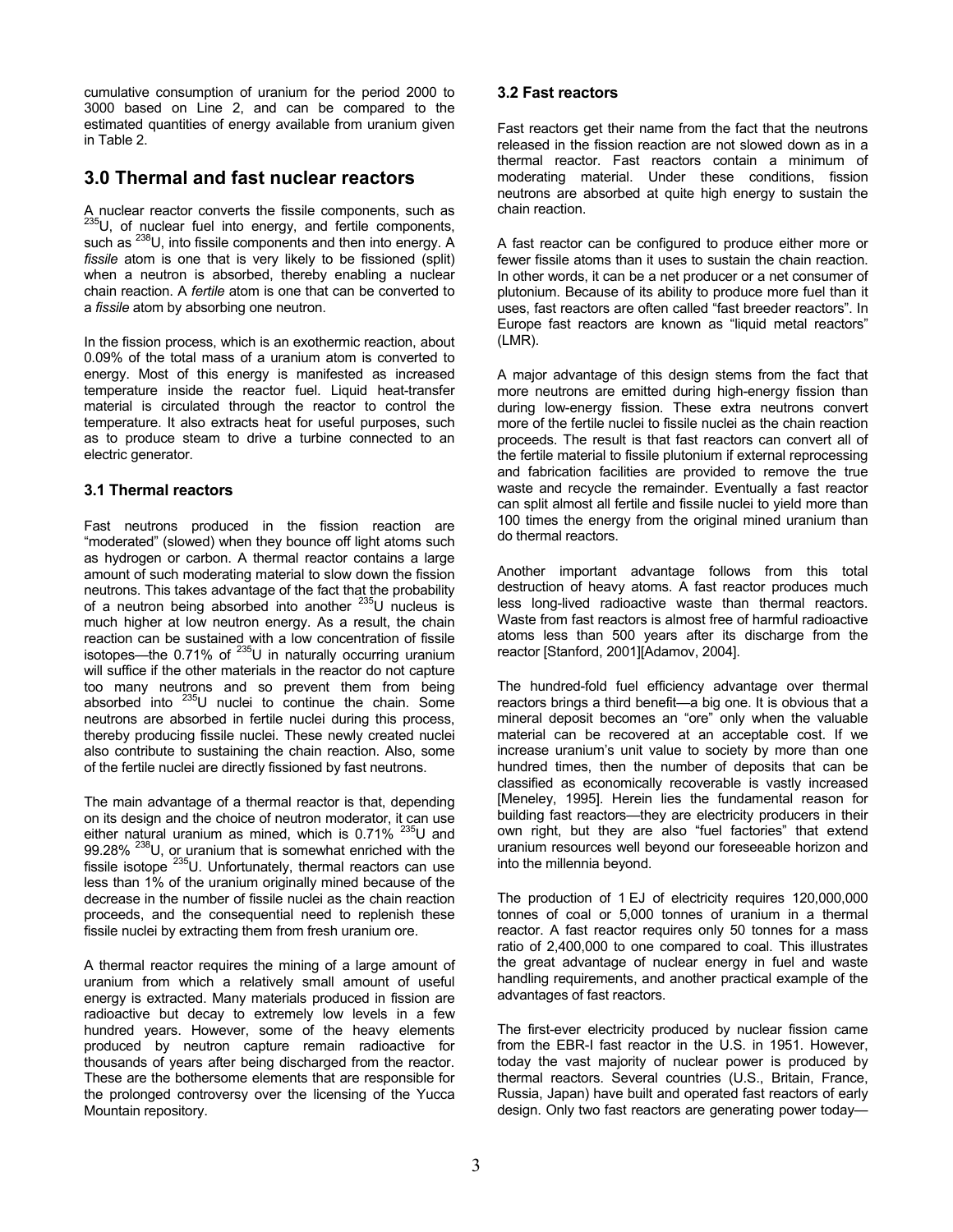cumulative consumption of uranium for the period 2000 to 3000 based on Line 2, and can be compared to the estimated quantities of energy available from uranium given in Table 2.

# **3.0 Thermal and fast nuclear reactors**

A nuclear reactor converts the fissile components, such as  $^{235}$ U, of nuclear fuel into energy, and fertile components, such as <sup>238</sup>U, into fissile components and then into energy. A *fissile* atom is one that is very likely to be fissioned (split) when a neutron is absorbed, thereby enabling a nuclear chain reaction. A *fertile* atom is one that can be converted to a *fissile* atom by absorbing one neutron.

In the fission process, which is an exothermic reaction, about 0.09% of the total mass of a uranium atom is converted to energy. Most of this energy is manifested as increased temperature inside the reactor fuel. Liquid heat-transfer material is circulated through the reactor to control the temperature. It also extracts heat for useful purposes, such as to produce steam to drive a turbine connected to an electric generator.

## **3.1 Thermal reactors**

Fast neutrons produced in the fission reaction are "moderated" (slowed) when they bounce off light atoms such as hydrogen or carbon. A thermal reactor contains a large amount of such moderating material to slow down the fission neutrons. This takes advantage of the fact that the probability of a neutron being absorbed into another <sup>235</sup>U nucleus is much higher at low neutron energy. As a result, the chain reaction can be sustained with a low concentration of fissile isotopes—the 0.71% of  $^{235}$ U in naturally occurring uranium will suffice if the other materials in the reactor do not capture too many neutrons and so prevent them from being absorbed into 235U nuclei to continue the chain. Some neutrons are absorbed in fertile nuclei during this process, thereby producing fissile nuclei. These newly created nuclei also contribute to sustaining the chain reaction. Also, some of the fertile nuclei are directly fissioned by fast neutrons.

The main advantage of a thermal reactor is that, depending on its design and the choice of neutron moderator, it can use either natural uranium as mined, which is  $0.71\%$  <sup>235</sup>U and 99.28% <sup>238</sup>U, or uranium that is somewhat enriched with the fissile isotope <sup>235</sup>U. Unfortunately, thermal reactors can use less than 1% of the uranium originally mined because of the decrease in the number of fissile nuclei as the chain reaction proceeds, and the consequential need to replenish these fissile nuclei by extracting them from fresh uranium ore.

A thermal reactor requires the mining of a large amount of uranium from which a relatively small amount of useful energy is extracted. Many materials produced in fission are radioactive but decay to extremely low levels in a few hundred years. However, some of the heavy elements produced by neutron capture remain radioactive for thousands of years after being discharged from the reactor. These are the bothersome elements that are responsible for the prolonged controversy over the licensing of the Yucca Mountain repository.

### **3.2 Fast reactors**

Fast reactors get their name from the fact that the neutrons released in the fission reaction are not slowed down as in a thermal reactor. Fast reactors contain a minimum of moderating material. Under these conditions, fission neutrons are absorbed at quite high energy to sustain the chain reaction.

A fast reactor can be configured to produce either more or fewer fissile atoms than it uses to sustain the chain reaction. In other words, it can be a net producer or a net consumer of plutonium. Because of its ability to produce more fuel than it uses, fast reactors are often called "fast breeder reactors". In Europe fast reactors are known as "liquid metal reactors" (LMR).

A major advantage of this design stems from the fact that more neutrons are emitted during high-energy fission than during low-energy fission. These extra neutrons convert more of the fertile nuclei to fissile nuclei as the chain reaction proceeds. The result is that fast reactors can convert all of the fertile material to fissile plutonium if external reprocessing and fabrication facilities are provided to remove the true waste and recycle the remainder. Eventually a fast reactor can split almost all fertile and fissile nuclei to yield more than 100 times the energy from the original mined uranium than do thermal reactors.

Another important advantage follows from this total destruction of heavy atoms. A fast reactor produces much less long-lived radioactive waste than thermal reactors. Waste from fast reactors is almost free of harmful radioactive atoms less than 500 years after its discharge from the reactor [Stanford, 2001][Adamov, 2004].

The hundred-fold fuel efficiency advantage over thermal reactors brings a third benefit—a big one. It is obvious that a mineral deposit becomes an "ore" only when the valuable material can be recovered at an acceptable cost. If we increase uranium's unit value to society by more than one hundred times, then the number of deposits that can be classified as economically recoverable is vastly increased [Meneley, 1995]. Herein lies the fundamental reason for building fast reactors—they are electricity producers in their own right, but they are also "fuel factories" that extend uranium resources well beyond our foreseeable horizon and into the millennia beyond.

The production of 1 EJ of electricity requires 120,000,000 tonnes of coal or 5,000 tonnes of uranium in a thermal reactor. A fast reactor requires only 50 tonnes for a mass ratio of 2,400,000 to one compared to coal. This illustrates the great advantage of nuclear energy in fuel and waste handling requirements, and another practical example of the advantages of fast reactors.

The first-ever electricity produced by nuclear fission came from the EBR-I fast reactor in the U.S. in 1951. However, today the vast majority of nuclear power is produced by thermal reactors. Several countries (U.S., Britain, France, Russia, Japan) have built and operated fast reactors of early design. Only two fast reactors are generating power today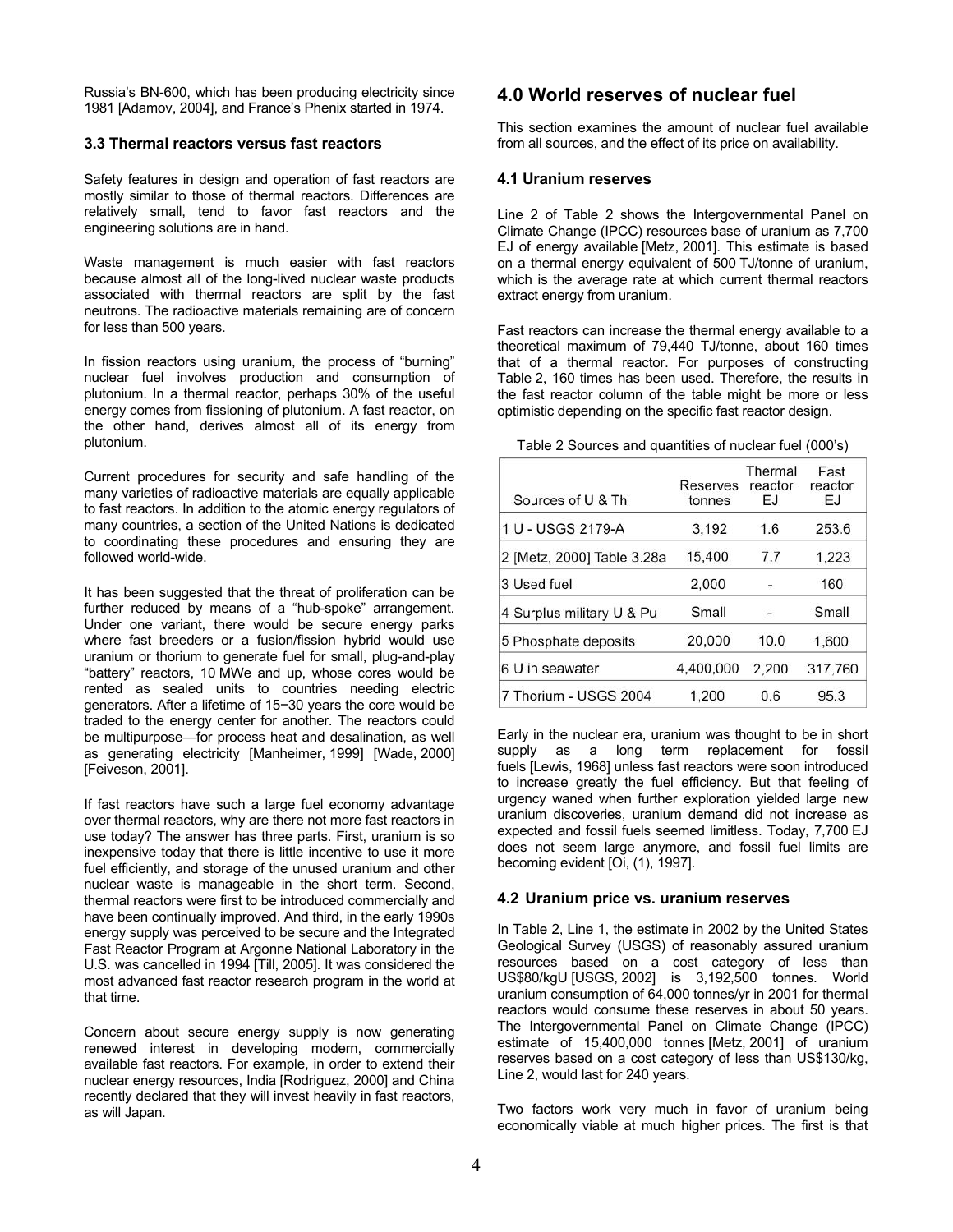Russia's BN-600, which has been producing electricity since 1981 [Adamov, 2004], and France's Phenix started in 1974.

#### **3.3 Thermal reactors versus fast reactors**

Safety features in design and operation of fast reactors are mostly similar to those of thermal reactors. Differences are relatively small, tend to favor fast reactors and the engineering solutions are in hand.

Waste management is much easier with fast reactors because almost all of the long-lived nuclear waste products associated with thermal reactors are split by the fast neutrons. The radioactive materials remaining are of concern for less than 500 years.

In fission reactors using uranium, the process of "burning" nuclear fuel involves production and consumption of plutonium. In a thermal reactor, perhaps 30% of the useful energy comes from fissioning of plutonium. A fast reactor, on the other hand, derives almost all of its energy from plutonium.

Current procedures for security and safe handling of the many varieties of radioactive materials are equally applicable to fast reactors. In addition to the atomic energy regulators of many countries, a section of the United Nations is dedicated to coordinating these procedures and ensuring they are followed world-wide.

It has been suggested that the threat of proliferation can be further reduced by means of a "hub-spoke" arrangement. Under one variant, there would be secure energy parks where fast breeders or a fusion/fission hybrid would use uranium or thorium to generate fuel for small, plug-and-play "battery" reactors, 10 MWe and up, whose cores would be rented as sealed units to countries needing electric generators. After a lifetime of 15−30 years the core would be traded to the energy center for another. The reactors could be multipurpose—for process heat and desalination, as well as generating electricity [Manheimer, 1999] [Wade, 2000] [Feiveson, 2001].

If fast reactors have such a large fuel economy advantage over thermal reactors, why are there not more fast reactors in use today? The answer has three parts. First, uranium is so inexpensive today that there is little incentive to use it more fuel efficiently, and storage of the unused uranium and other nuclear waste is manageable in the short term. Second, thermal reactors were first to be introduced commercially and have been continually improved. And third, in the early 1990s energy supply was perceived to be secure and the Integrated Fast Reactor Program at Argonne National Laboratory in the U.S. was cancelled in 1994 [Till, 2005]. It was considered the most advanced fast reactor research program in the world at that time.

Concern about secure energy supply is now generating renewed interest in developing modern, commercially available fast reactors. For example, in order to extend their nuclear energy resources, India [Rodriguez, 2000] and China recently declared that they will invest heavily in fast reactors, as will Japan.

## **4.0 World reserves of nuclear fuel**

This section examines the amount of nuclear fuel available from all sources, and the effect of its price on availability.

#### **4.1 Uranium reserves**

Line 2 of Table 2 shows the Intergovernmental Panel on Climate Change (IPCC) resources base of uranium as 7,700 EJ of energy available [Metz, 2001]. This estimate is based on a thermal energy equivalent of 500 TJ/tonne of uranium, which is the average rate at which current thermal reactors extract energy from uranium.

Fast reactors can increase the thermal energy available to a theoretical maximum of 79,440 TJ/tonne, about 160 times that of a thermal reactor. For purposes of constructing Table 2, 160 times has been used. Therefore, the results in the fast reactor column of the table might be more or less optimistic depending on the specific fast reactor design.

| Sources of U & Th          | <b>Reserves</b><br>tonnes | Thermal<br>reactor<br>ΕJ | Fast<br>reactor<br>EJ |
|----------------------------|---------------------------|--------------------------|-----------------------|
| 1 U - USGS 2179-A          | 3.192                     | 1.6                      | 253.6                 |
| 2 [Metz, 2000] Table 3.28a | 15,400                    | 7.7                      | 1,223                 |
| 3 Used fuel                | 2,000                     |                          | 160                   |
| 4 Surplus military U & Pu  | Small                     |                          | Small                 |
| 5 Phosphate deposits       | 20,000                    | 10.0                     | 1.600                 |
| 6 U in seawater            | 4.400.000                 | 2,200                    | 317.760               |
| 7 Thorium - USGS 2004      | 1.200                     | 0.6                      | 95.3                  |

Table 2 Sources and quantities of nuclear fuel (000's)

Early in the nuclear era, uranium was thought to be in short supply as a long term replacement for fossil fuels [Lewis, 1968] unless fast reactors were soon introduced to increase greatly the fuel efficiency. But that feeling of urgency waned when further exploration yielded large new uranium discoveries, uranium demand did not increase as expected and fossil fuels seemed limitless. Today, 7,700 EJ does not seem large anymore, and fossil fuel limits are becoming evident [Oi, (1), 1997].

#### **4.2 Uranium price vs. uranium reserves**

In Table 2, Line 1, the estimate in 2002 by the United States Geological Survey (USGS) of reasonably assured uranium resources based on a cost category of less than US\$80/kgU [USGS, 2002] is 3,192,500 tonnes. World uranium consumption of 64,000 tonnes/yr in 2001 for thermal reactors would consume these reserves in about 50 years. The Intergovernmental Panel on Climate Change (IPCC) estimate of 15,400,000 tonnes [Metz, 2001] of uranium reserves based on a cost category of less than US\$130/kg, Line 2, would last for 240 years.

Two factors work very much in favor of uranium being economically viable at much higher prices. The first is that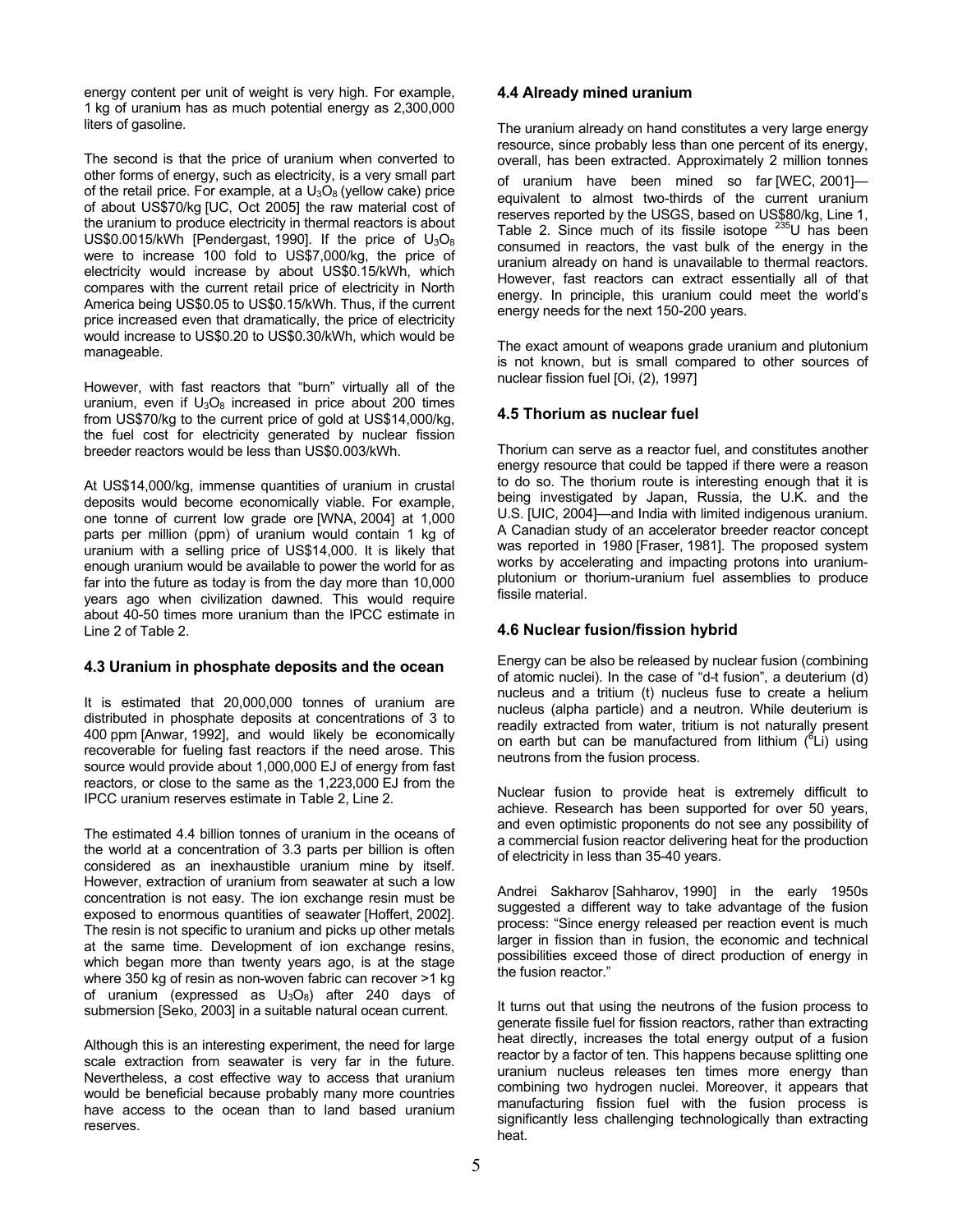energy content per unit of weight is very high. For example, 1 kg of uranium has as much potential energy as 2,300,000 liters of gasoline.

The second is that the price of uranium when converted to other forms of energy, such as electricity, is a very small part of the retail price. For example, at a  $U_3O_8$  (yellow cake) price of about US\$70/kg [UC, Oct 2005] the raw material cost of the uranium to produce electricity in thermal reactors is about US\$0.0015/kWh [Pendergast, 1990]. If the price of  $U_3O_8$ were to increase 100 fold to US\$7,000/kg, the price of electricity would increase by about US\$0.15/kWh, which compares with the current retail price of electricity in North America being US\$0.05 to US\$0.15/kWh. Thus, if the current price increased even that dramatically, the price of electricity would increase to US\$0.20 to US\$0.30/kWh, which would be manageable.

However, with fast reactors that "burn" virtually all of the uranium, even if  $U_3O_8$  increased in price about 200 times from US\$70/kg to the current price of gold at US\$14,000/kg, the fuel cost for electricity generated by nuclear fission breeder reactors would be less than US\$0.003/kWh.

At US\$14,000/kg, immense quantities of uranium in crustal deposits would become economically viable. For example, one tonne of current low grade ore [WNA, 2004] at 1,000 parts per million (ppm) of uranium would contain 1 kg of uranium with a selling price of US\$14,000. It is likely that enough uranium would be available to power the world for as far into the future as today is from the day more than 10,000 years ago when civilization dawned. This would require about 40-50 times more uranium than the IPCC estimate in Line 2 of Table 2.

### **4.3 Uranium in phosphate deposits and the ocean**

It is estimated that 20,000,000 tonnes of uranium are distributed in phosphate deposits at concentrations of 3 to 400 ppm [Anwar, 1992], and would likely be economically recoverable for fueling fast reactors if the need arose. This source would provide about 1,000,000 EJ of energy from fast reactors, or close to the same as the 1,223,000 EJ from the IPCC uranium reserves estimate in Table 2, Line 2.

The estimated 4.4 billion tonnes of uranium in the oceans of the world at a concentration of 3.3 parts per billion is often considered as an inexhaustible uranium mine by itself. However, extraction of uranium from seawater at such a low concentration is not easy. The ion exchange resin must be exposed to enormous quantities of seawater [Hoffert, 2002]. The resin is not specific to uranium and picks up other metals at the same time. Development of ion exchange resins, which began more than twenty years ago, is at the stage where 350 kg of resin as non-woven fabric can recover >1 kg of uranium (expressed as  $U_3O_8$ ) after 240 days of submersion [Seko, 2003] in a suitable natural ocean current.

Although this is an interesting experiment, the need for large scale extraction from seawater is very far in the future. Nevertheless, a cost effective way to access that uranium would be beneficial because probably many more countries have access to the ocean than to land based uranium reserves.

#### **4.4 Already mined uranium**

The uranium already on hand constitutes a very large energy resource, since probably less than one percent of its energy, overall, has been extracted. Approximately 2 million tonnes of uranium have been mined so far [WEC, 2001] equivalent to almost two-thirds of the current uranium reserves reported by the USGS, based on US\$80/kg, Line 1, Table 2. Since much of its fissile isotope  $235$ U has been consumed in reactors, the vast bulk of the energy in the uranium already on hand is unavailable to thermal reactors. However, fast reactors can extract essentially all of that energy. In principle, this uranium could meet the world's energy needs for the next 150-200 years.

The exact amount of weapons grade uranium and plutonium is not known, but is small compared to other sources of nuclear fission fuel [Oi, (2), 1997]

### **4.5 Thorium as nuclear fuel**

Thorium can serve as a reactor fuel, and constitutes another energy resource that could be tapped if there were a reason to do so. The thorium route is interesting enough that it is being investigated by Japan, Russia, the U.K. and the U.S. [UIC, 2004]—and India with limited indigenous uranium. A Canadian study of an accelerator breeder reactor concept was reported in 1980 [Fraser, 1981]. The proposed system works by accelerating and impacting protons into uraniumplutonium or thorium-uranium fuel assemblies to produce fissile material.

### **4.6 Nuclear fusion/fission hybrid**

Energy can be also be released by nuclear fusion (combining of atomic nuclei). In the case of "d-t fusion", a deuterium (d) nucleus and a tritium (t) nucleus fuse to create a helium nucleus (alpha particle) and a neutron. While deuterium is readily extracted from water, tritium is not naturally present on earth but can be manufactured from lithium (<sup>6</sup>Li) using neutrons from the fusion process.

Nuclear fusion to provide heat is extremely difficult to achieve. Research has been supported for over 50 years, and even optimistic proponents do not see any possibility of a commercial fusion reactor delivering heat for the production of electricity in less than 35-40 years.

Andrei Sakharov [Sahharov, 1990] in the early 1950s suggested a different way to take advantage of the fusion process: "Since energy released per reaction event is much larger in fission than in fusion, the economic and technical possibilities exceed those of direct production of energy in the fusion reactor."

It turns out that using the neutrons of the fusion process to generate fissile fuel for fission reactors, rather than extracting heat directly, increases the total energy output of a fusion reactor by a factor of ten. This happens because splitting one uranium nucleus releases ten times more energy than combining two hydrogen nuclei. Moreover, it appears that manufacturing fission fuel with the fusion process is significantly less challenging technologically than extracting heat.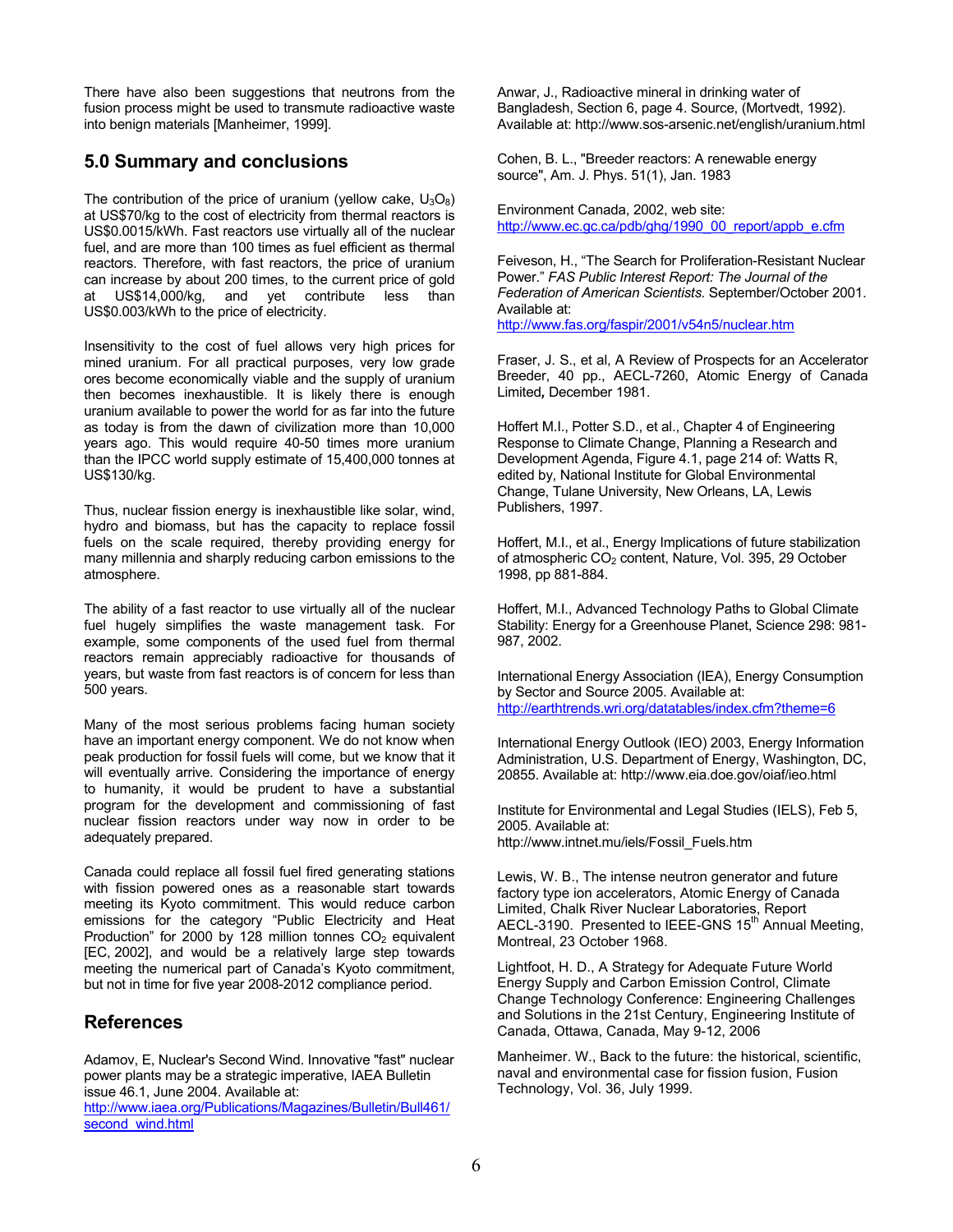There have also been suggestions that neutrons from the fusion process might be used to transmute radioactive waste into benign materials [Manheimer, 1999].

# **5.0 Summary and conclusions**

The contribution of the price of uranium (yellow cake,  $U_3O_8$ ) at US\$70/kg to the cost of electricity from thermal reactors is US\$0.0015/kWh. Fast reactors use virtually all of the nuclear fuel, and are more than 100 times as fuel efficient as thermal reactors. Therefore, with fast reactors, the price of uranium can increase by about 200 times, to the current price of gold at US\$14,000/kg, and yet contribute less than US\$0.003/kWh to the price of electricity.

Insensitivity to the cost of fuel allows very high prices for mined uranium. For all practical purposes, very low grade ores become economically viable and the supply of uranium then becomes inexhaustible. It is likely there is enough uranium available to power the world for as far into the future as today is from the dawn of civilization more than 10,000 years ago. This would require 40-50 times more uranium than the IPCC world supply estimate of 15,400,000 tonnes at US\$130/kg.

Thus, nuclear fission energy is inexhaustible like solar, wind, hydro and biomass, but has the capacity to replace fossil fuels on the scale required, thereby providing energy for many millennia and sharply reducing carbon emissions to the atmosphere.

The ability of a fast reactor to use virtually all of the nuclear fuel hugely simplifies the waste management task. For example, some components of the used fuel from thermal reactors remain appreciably radioactive for thousands of years, but waste from fast reactors is of concern for less than 500 years.

Many of the most serious problems facing human society have an important energy component. We do not know when peak production for fossil fuels will come, but we know that it will eventually arrive. Considering the importance of energy to humanity, it would be prudent to have a substantial program for the development and commissioning of fast nuclear fission reactors under way now in order to be adequately prepared.

Canada could replace all fossil fuel fired generating stations with fission powered ones as a reasonable start towards meeting its Kyoto commitment. This would reduce carbon emissions for the category "Public Electricity and Heat Production" for 2000 by 128 million tonnes CO<sub>2</sub> equivalent [EC, 2002], and would be a relatively large step towards meeting the numerical part of Canada's Kyoto commitment, but not in time for five year 2008-2012 compliance period.

# **References**

Adamov, E, Nuclear's Second Wind. Innovative "fast" nuclear power plants may be a strategic imperative, IAEA Bulletin issue 46.1, June 2004. Available at:

http://www.iaea.org/Publications/Magazines/Bulletin/Bull461/ second\_wind.html

Anwar, J., Radioactive mineral in drinking water of Bangladesh, Section 6, page 4. Source, (Mortvedt, 1992). Available at: http://www.sos-arsenic.net/english/uranium.html

Cohen, B. L., "Breeder reactors: A renewable energy source", Am. J. Phys. 51(1), Jan. 1983

Environment Canada, 2002, web site: http://www.ec.gc.ca/pdb/ghg/1990\_00\_report/appb\_e.cfm

Feiveson, H., "The Search for Proliferation-Resistant Nuclear Power." *FAS Public Interest Report: The Journal of the Federation of American Scientists.* September/October 2001. Available at: http://www.fas.org/faspir/2001/v54n5/nuclear.htm

Fraser, J. S., et al, A Review of Prospects for an Accelerator Breeder, 40 pp., AECL-7260, Atomic Energy of Canada Limited*,* December 1981.

Hoffert M.I., Potter S.D., et al., Chapter 4 of Engineering Response to Climate Change, Planning a Research and Development Agenda, Figure 4.1, page 214 of: Watts R, edited by, National Institute for Global Environmental Change, Tulane University, New Orleans, LA, Lewis Publishers, 1997.

Hoffert, M.I., et al., Energy Implications of future stabilization of atmospheric CO<sub>2</sub> content, Nature, Vol. 395, 29 October 1998, pp 881-884.

Hoffert, M.I., Advanced Technology Paths to Global Climate Stability: Energy for a Greenhouse Planet, Science 298: 981- 987, 2002.

International Energy Association (IEA), Energy Consumption by Sector and Source 2005. Available at: http://earthtrends.wri.org/datatables/index.cfm?theme=6

International Energy Outlook (IEO) 2003, Energy Information Administration, U.S. Department of Energy, Washington, DC, 20855. Available at: http://www.eia.doe.gov/oiaf/ieo.html

Institute for Environmental and Legal Studies (IELS), Feb 5, 2005. Available at: http://www.intnet.mu/iels/Fossil\_Fuels.htm

Lewis, W. B., The intense neutron generator and future factory type ion accelerators, Atomic Energy of Canada Limited, Chalk River Nuclear Laboratories, Report AECL-3190. Presented to IEEE-GNS  $15<sup>th</sup>$  Annual Meeting, Montreal, 23 October 1968.

Lightfoot, H. D., A Strategy for Adequate Future World Energy Supply and Carbon Emission Control, Climate Change Technology Conference: Engineering Challenges and Solutions in the 21st Century, Engineering Institute of Canada, Ottawa, Canada, May 9-12, 2006

Manheimer. W., Back to the future: the historical, scientific, naval and environmental case for fission fusion, Fusion Technology, Vol. 36, July 1999.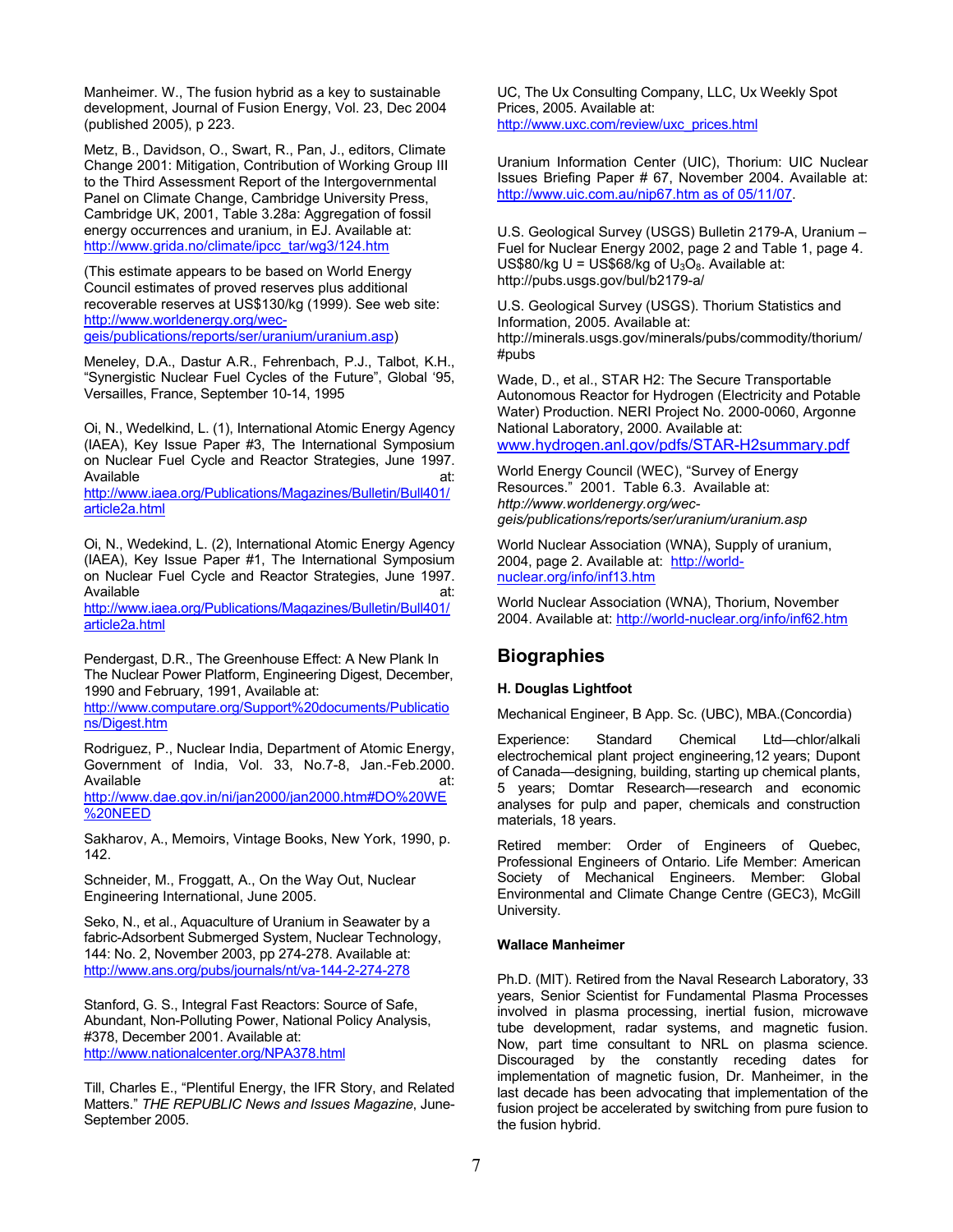Manheimer. W., The fusion hybrid as a key to sustainable development, Journal of Fusion Energy, Vol. 23, Dec 2004 (published 2005), p 223.

Metz, B., Davidson, O., Swart, R., Pan, J., editors, Climate Change 2001: Mitigation, Contribution of Working Group III to the Third Assessment Report of the Intergovernmental Panel on Climate Change, Cambridge University Press, Cambridge UK, 2001, Table 3.28a: Aggregation of fossil energy occurrences and uranium, in EJ. Available at: http://www.grida.no/climate/ipcc\_tar/wg3/124.htm

(This estimate appears to be based on World Energy Council estimates of proved reserves plus additional recoverable reserves at US\$130/kg (1999). See web site: http://www.worldenergy.org/wecgeis/publications/reports/ser/uranium/uranium.asp)

Meneley, D.A., Dastur A.R., Fehrenbach, P.J., Talbot, K.H., "Synergistic Nuclear Fuel Cycles of the Future", Global '95, Versailles, France, September 10-14, 1995

Oi, N., Wedelkind, L. (1), International Atomic Energy Agency (IAEA), Key Issue Paper #3, The International Symposium on Nuclear Fuel Cycle and Reactor Strategies, June 1997. Available at:

http://www.iaea.org/Publications/Magazines/Bulletin/Bull401/ article2a.html

Oi, N., Wedekind, L. (2), International Atomic Energy Agency (IAEA), Key Issue Paper #1, The International Symposium on Nuclear Fuel Cycle and Reactor Strategies, June 1997. Available at: http://www.iaea.org/Publications/Magazines/Bulletin/Bull401/ article2a.html

Pendergast, D.R., The Greenhouse Effect: A New Plank In The Nuclear Power Platform, Engineering Digest, December, 1990 and February, 1991, Available at: http://www.computare.org/Support%20documents/Publicatio

ns/Digest.htm

Rodriguez, P., Nuclear India, Department of Atomic Energy, Government of India, Vol. 33, No.7-8, Jan.-Feb.2000. Available at: http://www.dae.gov.in/ni/jan2000/jan2000.htm#DO%20WE %20NEED

Sakharov, A., Memoirs, Vintage Books, New York, 1990, p. 142.

Schneider, M., Froggatt, A., On the Way Out, Nuclear Engineering International, June 2005.

Seko, N., et al., Aquaculture of Uranium in Seawater by a fabric-Adsorbent Submerged System, Nuclear Technology, 144: No. 2, November 2003, pp 274-278. Available at: http://www.ans.org/pubs/journals/nt/va-144-2-274-278

Stanford, G. S., Integral Fast Reactors: Source of Safe, Abundant, Non-Polluting Power, National Policy Analysis, #378, December 2001. Available at: http://www.nationalcenter.org/NPA378.html

Till, Charles E., "Plentiful Energy, the IFR Story, and Related Matters." *THE REPUBLIC News and Issues Magazine*, June-September 2005.

UC, The Ux Consulting Company, LLC, Ux Weekly Spot Prices, 2005. Available at: http://www.uxc.com/review/uxc\_prices.html

Uranium Information Center (UIC), Thorium: UIC Nuclear Issues Briefing Paper # 67, November 2004. Available at: http://www.uic.com.au/nip67.htm as of 05/11/07.

U.S. Geological Survey (USGS) Bulletin 2179-A, Uranium – Fuel for Nuclear Energy 2002, page 2 and Table 1, page 4. US\$80/kg U = US\$68/kg of  $U_3O_8$ . Available at: http://pubs.usgs.gov/bul/b2179-a/

U.S. Geological Survey (USGS). Thorium Statistics and Information, 2005. Available at: http://minerals.usgs.gov/minerals/pubs/commodity/thorium/ #pubs

Wade, D., et al., STAR H2: The Secure Transportable Autonomous Reactor for Hydrogen (Electricity and Potable Water) Production. NERI Project No. 2000-0060, Argonne National Laboratory, 2000. Available at: www.hydrogen.anl.gov/pdfs/STAR-H2summary.pdf

World Energy Council (WEC), "Survey of Energy Resources." 2001. Table 6.3. Available at: *http://www.worldenergy.org/wec-*

*geis/publications/reports/ser/uranium/uranium.asp*

World Nuclear Association (WNA), Supply of uranium, 2004, page 2. Available at: http://worldnuclear.org/info/inf13.htm

World Nuclear Association (WNA), Thorium, November 2004. Available at: http://world-nuclear.org/info/inf62.htm

# **Biographies**

### **H. Douglas Lightfoot**

Mechanical Engineer, B App. Sc. (UBC), MBA.(Concordia)

Experience: Standard Chemical Ltd—chlor/alkali electrochemical plant project engineering,12 years; Dupont of Canada—designing, building, starting up chemical plants, 5 years; Domtar Research—research and economic analyses for pulp and paper, chemicals and construction materials, 18 years.

Retired member: Order of Engineers of Quebec, Professional Engineers of Ontario. Life Member: American Society of Mechanical Engineers. Member: Global Environmental and Climate Change Centre (GEC3), McGill University.

### **Wallace Manheimer**

Ph.D. (MIT). Retired from the Naval Research Laboratory, 33 years, Senior Scientist for Fundamental Plasma Processes involved in plasma processing, inertial fusion, microwave tube development, radar systems, and magnetic fusion. Now, part time consultant to NRL on plasma science. Discouraged by the constantly receding dates for implementation of magnetic fusion, Dr. Manheimer, in the last decade has been advocating that implementation of the fusion project be accelerated by switching from pure fusion to the fusion hybrid.